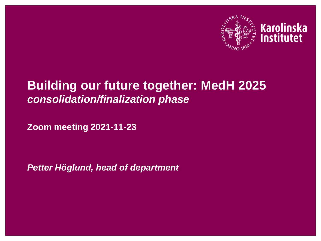

#### **Building our future together: MedH 2025** *consolidation/finalization phase*

**Zoom meeting 2021-11-23**

*Petter Höglund, head of department*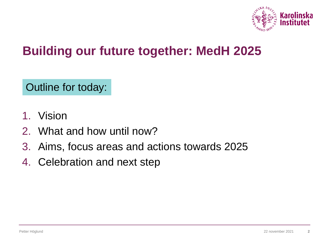

## **Building our future together: MedH 2025**

Outline for today:

- 1. Vision
- 2. What and how until now?
- 3. Aims, focus areas and actions towards 2025
- 4. Celebration and next step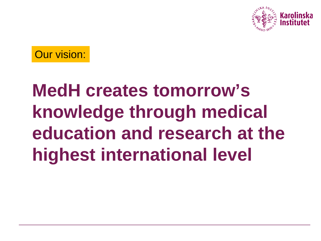

#### Our vision:

# **MedH creates tomorrow's knowledge through medical education and research at the highest international level**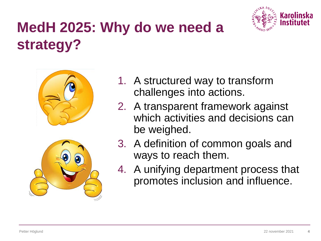

## **MedH 2025: Why do we need a strategy?**



- 1. A structured way to transform challenges into actions.
- 2. A transparent framework against which activities and decisions can be weighed.
- 3. A definition of common goals and ways to reach them.
- 4. A unifying department process that promotes inclusion and influence.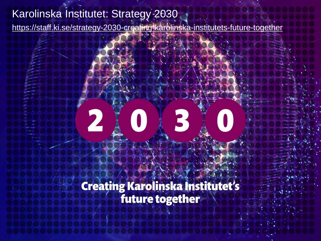#### Karolinska Institutet: Strategy 2030

<https://staff.ki.se/strategy-2030-creating-karolinska-institutets-future-together>

## $\mathbf{E}$ 2

Creating Karolinska Institutet's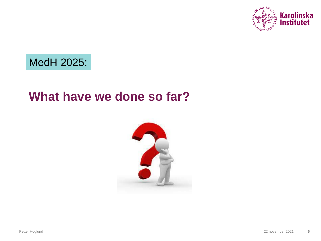

#### MedH 2025:

#### **What have we done so far?**

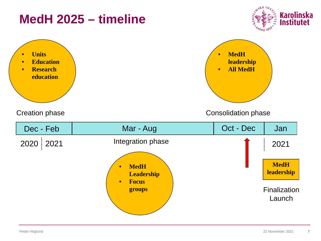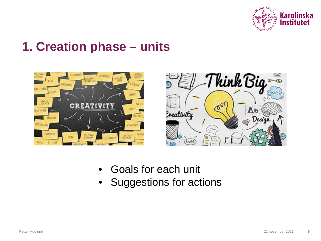

#### **1. Creation phase – units**





- Goals for each unit
- Suggestions for actions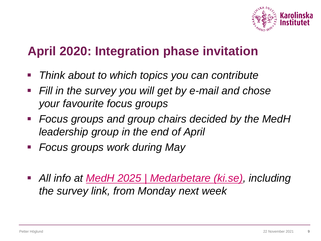

#### **April 2020: Integration phase invitation**

- *Think about to which topics you can contribute*
- *Fill in the survey you will get by e-mail and chose your favourite focus groups*
- *Focus groups and group chairs decided by the MedH leadership group in the end of April*
- *Focus groups work during May*
- *All info at [MedH 2025 | Medarbetare \(ki.se\),](https://staff.ki.se/medh-2025) including the survey link, from Monday next week*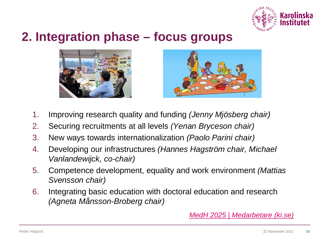

### **2. Integration phase – focus groups**





- 1. Improving research quality and funding *(Jenny Mjösberg chair)*
- 2. Securing recruitments at all levels *(Yenan Bryceson chair)*
- 3. New ways towards internationalization *(Paolo Parini chair)*
- 4. Developing our infrastructures *(Hannes Hagström chair, Michael Vanlandewijck, co-chair)*
- 5. Competence development, equality and work environment *(Mattias Svensson chair)*
- 6. Integrating basic education with doctoral education and research *(Agneta Månsson-Broberg chair)*

*[MedH 2025 | Medarbetare \(ki.se\)](https://staff.ki.se/medh-2025)*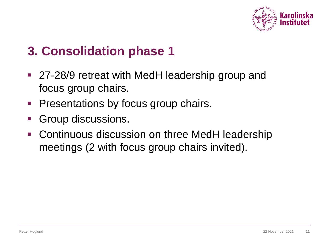

## **3. Consolidation phase 1**

- 27-28/9 retreat with MedH leadership group and focus group chairs.
- **Presentations by focus group chairs.**
- **Group discussions.**
- **Continuous discussion on three MedH leadership** meetings (2 with focus group chairs invited).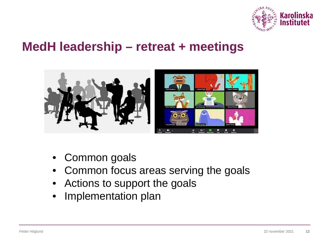

#### **MedH leadership – retreat + meetings**



- Common goals
- Common focus areas serving the goals
- Actions to support the goals
- Implementation plan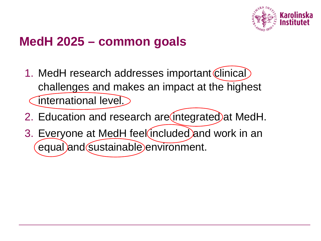

#### **MedH 2025 – common goals**

- 1. MedH research addresses important clinical challenges and makes an impact at the highest international level.
- 2. Education and research are integrated at MedH.
- 3. Everyone at MedH feel (included) and work in an equal and sustainable environment.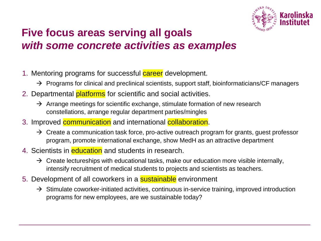

#### **Five focus areas serving all goals** *with some concrete activities as examples*

- 1. Mentoring programs for successful career development.
	- $\rightarrow$  Programs for clinical and preclinical scientists, support staff, bioinformaticians/CF managers
- 2. Departmental **platforms** for scientific and social activities.
	- $\rightarrow$  Arrange meetings for scientific exchange, stimulate formation of new research constellations, arrange regular department parties/mingles
- 3. Improved communication and international collaboration.
	- $\rightarrow$  Create a communication task force, pro-active outreach program for grants, guest professor program, promote international exchange, show MedH as an attractive department
- 4. Scientists in education and students in research.
	- $\rightarrow$  Create lectureships with educational tasks, make our education more visible internally, intensify recruitment of medical students to projects and scientists as teachers.
- 5. Development of all coworkers in a **sustainable** environment
	- $\rightarrow$  Stimulate coworker-initiated activities, continuous in-service training, improved introduction programs for new employees, are we sustainable today?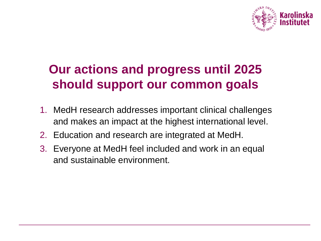

## **Our actions and progress until 2025 should support our common goals**

- 1. MedH research addresses important clinical challenges and makes an impact at the highest international level.
- 2. Education and research are integrated at MedH.
- 3. Everyone at MedH feel included and work in an equal and sustainable environment.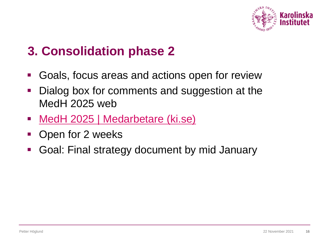

## **3. Consolidation phase 2**

- Goals, focus areas and actions open for review
- **Dialog box for comments and suggestion at the** MedH 2025 web
- **[MedH 2025 | Medarbetare \(ki.se\)](https://staff.ki.se/medh-2025)**
- Open for 2 weeks
- Goal: Final strategy document by mid January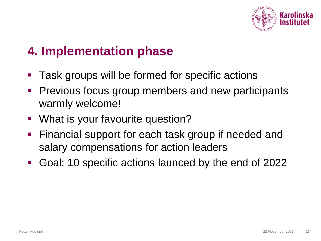

### **4. Implementation phase**

- Task groups will be formed for specific actions
- **Previous focus group members and new participants** warmly welcome!
- What is your favourite question?
- **Financial support for each task group if needed and** salary compensations for action leaders
- Goal: 10 specific actions launced by the end of 2022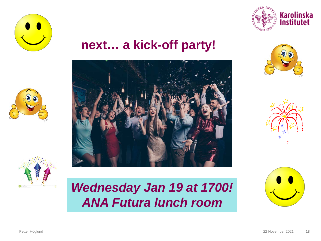



### **next… a kick-off party!**











### *Wednesday Jan 19 at 1700! ANA Futura lunch room*